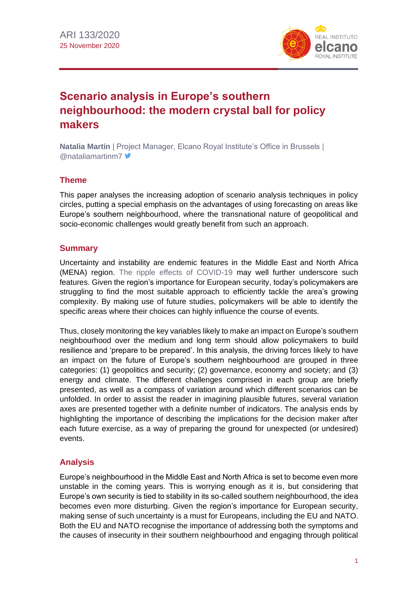

# **Scenario analysis in Europe's southern neighbourhood: the modern crystal ball for policy makers**

**Natalia Martín** | Project Manager, Elcano Royal Institute's Office in Brussels | @nataliamartinm7

# **Theme**

This paper analyses the increasing adoption of scenario analysis techniques in policy circles, putting a special emphasis on the advantages of using forecasting on areas like Europe's southern neighbourhood, where the transnational nature of geopolitical and socio-economic challenges would greatly benefit from such an approach.

## **Summary**

Uncertainty and instability are endemic features in the Middle East and North Africa (MENA) region. [The ripple effects of COVID-19](https://especiales.realinstitutoelcano.org/coronavirus/?lang=en) may well further underscore such features. Given the region's importance for European security, today's policymakers are struggling to find the most suitable approach to efficiently tackle the area's growing complexity. By making use of future studies, policymakers will be able to identify the specific areas where their choices can highly influence the course of events.

Thus, closely monitoring the key variables likely to make an impact on Europe's southern neighbourhood over the medium and long term should allow policymakers to build resilience and 'prepare to be prepared'. In this analysis, the driving forces likely to have an impact on the future of Europe's southern neighbourhood are grouped in three categories: (1) geopolitics and security; (2) governance, economy and society; and (3) energy and climate. The different challenges comprised in each group are briefly presented, as well as a compass of variation around which different scenarios can be unfolded. In order to assist the reader in imagining plausible futures, several variation axes are presented together with a definite number of indicators. The analysis ends by highlighting the importance of describing the implications for the decision maker after each future exercise, as a way of preparing the ground for unexpected (or undesired) events.

## **Analysis**

Europe's neighbourhood in the Middle East and North Africa is set to become even more unstable in the coming years. This is worrying enough as it is, but considering that Europe's own security is tied to stability in its so-called southern neighbourhood, the idea becomes even more disturbing. Given the region's importance for European security, making sense of such uncertainty is a must for Europeans, including the EU and NATO. Both the EU and NATO recognise the importance of addressing both the symptoms and the causes of insecurity in their southern neighbourhood and engaging through political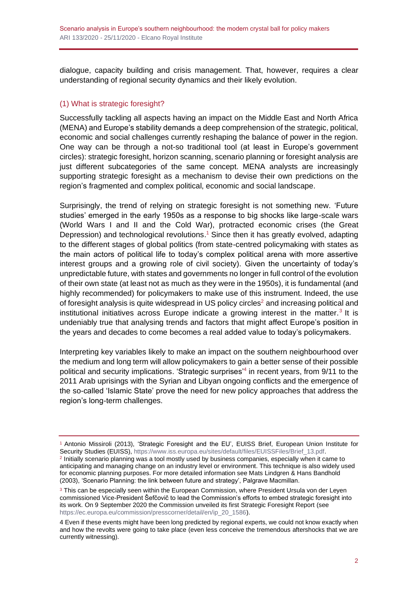dialogue, capacity building and crisis management. That, however, requires a clear understanding of regional security dynamics and their likely evolution.

#### (1) What is strategic foresight?

Successfully tackling all aspects having an impact on the Middle East and North Africa (MENA) and Europe's stability demands a deep comprehension of the strategic, political, economic and social challenges currently reshaping the balance of power in the region. One way can be through a not-so traditional tool (at least in Europe's government circles): strategic foresight, horizon scanning, scenario planning or foresight analysis are just different subcategories of the same concept. MENA analysts are increasingly supporting strategic foresight as a mechanism to devise their own predictions on the region's fragmented and complex political, economic and social landscape.

Surprisingly, the trend of relying on strategic foresight is not something new. 'Future studies' emerged in the early 1950s as a response to big shocks like large-scale wars (World Wars I and II and the Cold War), protracted economic crises (the Great Depression) and technological revolutions.<sup>1</sup> Since then it has greatly evolved, adapting to the different stages of global politics (from state-centred policymaking with states as the main actors of political life to today's complex political arena with more assertive interest groups and a growing role of civil society). Given the uncertainty of today's unpredictable future, with states and governments no longer in full control of the evolution of their own state (at least not as much as they were in the 1950s), it is fundamental (and highly recommended) for policymakers to make use of this instrument. Indeed, the use of foresight analysis is quite widespread in US policy circles<sup>2</sup> and increasing political and institutional initiatives across Europe indicate a growing interest in the matter.<sup>3</sup> It is undeniably true that analysing trends and factors that might affect Europe's position in the years and decades to come becomes a real added value to today's policymakers.

Interpreting key variables likely to make an impact on the southern neighbourhood over the medium and long term will allow policymakers to gain a better sense of their possible political and security implications. 'Strategic surprises'<sup>4</sup> in recent years, from 9/11 to the 2011 Arab uprisings with the Syrian and Libyan ongoing conflicts and the emergence of the so-called 'Islamic State' prove the need for new policy approaches that address the region's long-term challenges.

<sup>1</sup> Antonio Missiroli (2013), 'Strategic Foresight and the EU', EUISS Brief, European Union Institute for Security Studies (EUISS)[, https://www.iss.europa.eu/sites/default/files/EUISSFiles/Brief\\_13.pdf.](https://www.iss.europa.eu/sites/default/files/EUISSFiles/Brief_13.pdf) <sup>2</sup> Initially scenario planning was a tool mostly used by business companies, especially when it came to anticipating and managing change on an industry level or environment. This technique is also widely used for economic planning purposes. For more detailed information see Mats Lindgren & Hans Bandhold (2003), 'Scenario Planning: the link between future and strategy', Palgrave Macmillan.

<sup>&</sup>lt;sup>3</sup> This can be especially seen within the European Commission, where President Ursula von der Leyen commissioned Vice-President Šefčovič to lead the Commission's efforts to embed strategic foresight into its work. On 9 September 2020 the Commission unveiled its first Strategic Foresight Report (see [https://ec.europa.eu/commission/presscorner/detail/en/ip\\_20\\_1586\)](https://ec.europa.eu/commission/presscorner/detail/en/ip_20_1586).

<sup>4</sup> Even if these events might have been long predicted by regional experts, we could not know exactly when and how the revolts were going to take place (even less conceive the tremendous aftershocks that we are currently witnessing).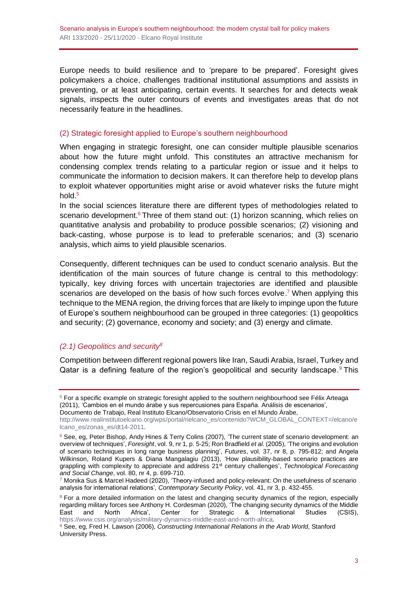Europe needs to build resilience and to 'prepare to be prepared'. Foresight gives policymakers a choice, challenges traditional institutional assumptions and assists in preventing, or at least anticipating, certain events. It searches for and detects weak signals, inspects the outer contours of events and investigates areas that do not necessarily feature in the headlines.

#### (2) Strategic foresight applied to Europe's southern neighbourhood

When engaging in strategic foresight, one can consider multiple plausible scenarios about how the future might unfold. This constitutes an attractive mechanism for condensing complex trends relating to a particular region or issue and it helps to communicate the information to decision makers. It can therefore help to develop plans to exploit whatever opportunities might arise or avoid whatever risks the future might hold. 5

In the social sciences literature there are different types of methodologies related to scenario development.<sup>6</sup> Three of them stand out: (1) horizon scanning, which relies on quantitative analysis and probability to produce possible scenarios; (2) visioning and back-casting, whose purpose is to lead to preferable scenarios; and (3) scenario analysis, which aims to yield plausible scenarios.

Consequently, different techniques can be used to conduct scenario analysis. But the identification of the main sources of future change is central to this methodology: typically, key driving forces with uncertain trajectories are identified and plausible scenarios are developed on the basis of how such forces evolve.<sup>7</sup> When applying this technique to the MENA region, the driving forces that are likely to impinge upon the future of Europe's southern neighbourhood can be grouped in three categories: (1) geopolitics and security; (2) governance, economy and society; and (3) energy and climate.

## *(2.1) Geopolitics and security<sup>8</sup>*

Competition between different regional powers like Iran, Saudi Arabia, Israel, Turkey and Qatar is a defining feature of the region's geopolitical and security landscape.<sup>9</sup> This

<sup>5</sup> For a specific example on strategic foresight applied to the southern neighbourhood see Félix Arteaga (2011), 'Cambios en el mundo árabe y sus repercusiones para España. Análisis de escenarios',

Documento de Trabajo, Real Instituto Elcano/Observatorio Crisis en el Mundo Árabe,

[http://www.realinstitutoelcano.org/wps/portal/rielcano\\_es/contenido?WCM\\_GLOBAL\\_CONTEXT=/elcano/e](http://www.realinstitutoelcano.org/wps/portal/rielcano_es/contenido?WCM_GLOBAL_CONTEXT=/elcano/elcano_es/zonas_es/dt14-2011) [lcano\\_es/zonas\\_es/dt14-2011.](http://www.realinstitutoelcano.org/wps/portal/rielcano_es/contenido?WCM_GLOBAL_CONTEXT=/elcano/elcano_es/zonas_es/dt14-2011)

<sup>&</sup>lt;sup>6</sup> See, eg, Peter Bishop, Andy Hines & Terry Colins (2007), 'The current state of scenario development: an overview of techniques', *Foresight*, vol. 9, nr 1, p. 5-25; Ron Bradfield *et al*. (2005), 'The origins and evolution of scenario techniques in long range business planning', *Futures*, vol. 37, nr 8, p. 795-812; and Angela Wilkinson, Roland Kupers & Diana Mangalagiu (2013), 'How plausibility-based scenario practices are grappling with complexity to appreciate and address 21st century challenges', *Technological Forecasting and Social Change*, vol. 80, nr 4, p. 699-710.

<sup>7</sup> Monika Sus & Marcel Hadeed (2020), 'Theory-infused and policy-relevant: On the usefulness of scenario analysis for international relations', *Contemporary Security Policy*, vol. 41, nr 3, p. 432-455.

<sup>&</sup>lt;sup>8</sup> For a more detailed information on the latest and changing security dynamics of the region, especially regarding military forces see Anthony H. Cordesman (2020), 'The changing security dynamics of the Middle East<br>East and North Africa', Center for Strategic & International Studies (CSIS), East and North Africa', Center for Strategic & International Studies (CSIS), [https://www.csis.org/analysis/military-dynamics-middle-east-and-north-africa.](https://www.csis.org/analysis/military-dynamics-middle-east-and-north-africa)

<sup>9</sup> See, eg, Fred H. Lawson (2006), *Constructing International Relations in the Arab World*, Stanford University Press.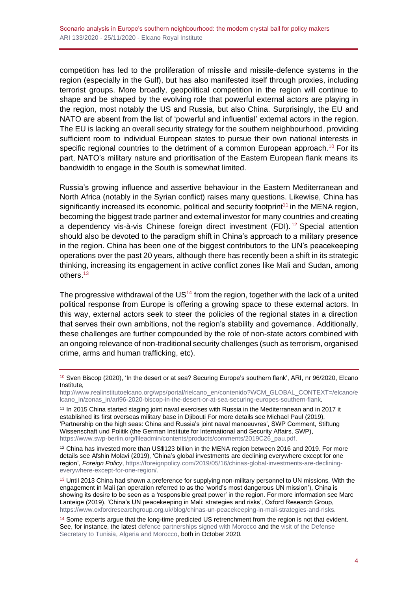competition has led to the proliferation of missile and missile-defence systems in the region (especially in the Gulf), but has also manifested itself through proxies, including terrorist groups. More broadly, geopolitical competition in the region will continue to shape and be shaped by the evolving role that powerful external actors are playing in the region, most notably the US and Russia, but also China. Surprisingly, the EU and NATO are absent from the list of 'powerful and influential' external actors in the region. The EU is lacking an overall security strategy for the southern neighbourhood, providing sufficient room to individual European states to pursue their own national interests in specific regional countries to the detriment of a common European approach.<sup>10</sup> For its part, NATO's military nature and prioritisation of the Eastern European flank means its bandwidth to engage in the South is somewhat limited.

Russia's growing influence and assertive behaviour in the Eastern Mediterranean and North Africa (notably in the Syrian conflict) raises many questions. Likewise, China has significantly increased its economic, political and security footprint<sup>11</sup> in the MENA region, becoming the biggest trade partner and external investor for many countries and creating a dependency vis-à-vis Chinese foreign direct investment (FDI).<sup>12</sup> Special attention should also be devoted to the paradigm shift in China's approach to a military presence in the region. China has been one of the biggest contributors to the UN's peacekeeping operations over the past 20 years, although there has recently been a shift in its strategic thinking, increasing its engagement in active conflict zones like Mali and Sudan, among others. 13

The progressive withdrawal of the  $US<sup>14</sup>$  from the region, together with the lack of a united political response from Europe is offering a growing space to these external actors. In this way, external actors seek to steer the policies of the regional states in a direction that serves their own ambitions, not the region's stability and governance. Additionally, these challenges are further compounded by the role of non-state actors combined with an ongoing relevance of non-traditional security challenges (such as terrorism, organised crime, arms and human trafficking, etc).

<sup>11</sup> In 2015 China started staging joint naval exercises with Russia in the Mediterranean and in 2017 it established its first overseas military base in Djibouti For more details see Michael Paul (2019), 'Partnership on the high seas: China and Russia's joint naval manoeuvres', SWP Comment, Stiftung Wissenschaft und Politik (the German Institute for International and Security Affairs, SWP), [https://www.swp-berlin.org/fileadmin/contents/products/comments/2019C26\\_pau.pdf.](https://www.swp-berlin.org/fileadmin/contents/products/comments/2019C26_pau.pdf)

<sup>12</sup> China has invested more than US\$123 billion in the MENA region between 2016 and 2019. For more details see Afshin Molavi (2019), 'China's global investments are declining everywhere except for one region', *Foreign Policy*, [https://foreignpolicy.com/2019/05/16/chinas-global-investments-are-declining](https://foreignpolicy.com/2019/05/16/chinas-global-investments-are-declining-everywhere-except-for-one-region/)[everywhere-except-for-one-region/.](https://foreignpolicy.com/2019/05/16/chinas-global-investments-are-declining-everywhere-except-for-one-region/)

<sup>13</sup> Until 2013 China had shown a preference for supplying non-military personnel to UN missions. With the engagement in Mali (an operation referred to as the 'world's most dangerous UN mission'), China is showing its desire to be seen as a 'responsible great power' in the region. For more information see Marc Lanteige (2019), 'China's UN peacekeeping in Mali: strategies and risks', Oxford Research Group, [https://www.oxfordresearchgroup.org.uk/blog/chinas-un-peacekeeping-in-mali-strategies-and-risks.](https://www.oxfordresearchgroup.org.uk/blog/chinas-un-peacekeeping-in-mali-strategies-and-risks)

<sup>10</sup> Sven Biscop (2020), 'In the desert or at sea? Securing Europe's southern flank', ARI, nr 96/2020, Elcano Institute,

[http://www.realinstitutoelcano.org/wps/portal/rielcano\\_en/contenido?WCM\\_GLOBAL\\_CONTEXT=/elcano/e](http://www.realinstitutoelcano.org/wps/portal/rielcano_en/contenido?WCM_GLOBAL_CONTEXT=/elcano/elcano_in/zonas_in/ari96-2020-biscop-in-the-desert-or-at-sea-securing-europes-southern-flank) [lcano\\_in/zonas\\_in/ari96-2020-biscop-in-the-desert-or-at-sea-securing-europes-southern-flank.](http://www.realinstitutoelcano.org/wps/portal/rielcano_en/contenido?WCM_GLOBAL_CONTEXT=/elcano/elcano_in/zonas_in/ari96-2020-biscop-in-the-desert-or-at-sea-securing-europes-southern-flank)

<sup>&</sup>lt;sup>14</sup> Some experts argue that the long-time predicted US retrenchment from the region is not that evident. See, for instance, the lates[t defence partnerships signed with Morocco](https://www.defense.gov/Explore/News/Article/Article/2369742/us-morocco-chart-defense-cooperation-through-2030/) and the visit of the Defense [Secretary to Tunisia, Algeria and Morocco,](https://www.africom.mil/article/33196/us-increases-engagements-with-african-nations) both in October 2020.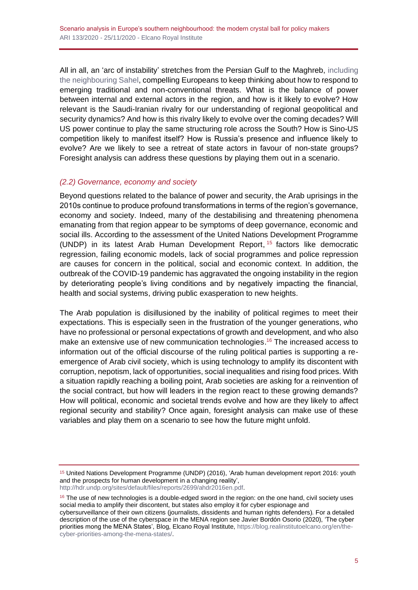All in all, an 'arc of instability' stretches from the Persian Gulf to the Maghreb, [including](http://www.realinstitutoelcano.org/wps/portal/rielcano_en/contenido?WCM_GLOBAL_CONTEXT=/elcano/elcano_in/zonas_in/ari132-2020-wilen-a-logic-of-its-own-the-external-presence-in-sahel)  [the neighbouring Sahel,](http://www.realinstitutoelcano.org/wps/portal/rielcano_en/contenido?WCM_GLOBAL_CONTEXT=/elcano/elcano_in/zonas_in/ari132-2020-wilen-a-logic-of-its-own-the-external-presence-in-sahel) compelling Europeans to keep thinking about how to respond to emerging traditional and non-conventional threats. What is the balance of power between internal and external actors in the region, and how is it likely to evolve? How relevant is the Saudi-Iranian rivalry for our understanding of regional geopolitical and security dynamics? And how is this rivalry likely to evolve over the coming decades? Will US power continue to play the same structuring role across the South? How is Sino-US competition likely to manifest itself? How is Russia's presence and influence likely to evolve? Are we likely to see a retreat of state actors in favour of non-state groups? Foresight analysis can address these questions by playing them out in a scenario.

#### *(2.2) Governance, economy and society*

Beyond questions related to the balance of power and security, the Arab uprisings in the 2010s continue to produce profound transformations in terms of the region's governance, economy and society. Indeed, many of the destabilising and threatening phenomena emanating from that region appear to be symptoms of deep governance, economic and social ills. According to the assessment of the United Nations Development Programme (UNDP) in its latest Arab Human Development Report, <sup>15</sup> factors like democratic regression, failing economic models, lack of social programmes and police repression are causes for concern in the political, social and economic context. In addition, the outbreak of the COVID-19 pandemic has aggravated the ongoing instability in the region by deteriorating people's living conditions and by negatively impacting the financial, health and social systems, driving public exasperation to new heights.

The Arab population is disillusioned by the inability of political regimes to meet their expectations. This is especially seen in the frustration of the younger generations, who have no professional or personal expectations of growth and development, and who also make an extensive use of new communication technologies.<sup>16</sup> The increased access to information out of the official discourse of the ruling political parties is supporting a reemergence of Arab civil society, which is using technology to amplify its discontent with corruption, nepotism, lack of opportunities, social inequalities and rising food prices. With a situation rapidly reaching a boiling point, Arab societies are asking for a reinvention of the social contract, but how will leaders in the region react to these growing demands? How will political, economic and societal trends evolve and how are they likely to affect regional security and stability? Once again, foresight analysis can make use of these variables and play them on a scenario to see how the future might unfold.

[http://hdr.undp.org/sites/default/files/reports/2699/ahdr2016en.pdf.](http://hdr.undp.org/sites/default/files/reports/2699/ahdr2016en.pdf)

<sup>15</sup> United Nations Development Programme (UNDP) (2016), 'Arab human development report 2016: youth and the prospects for human development in a changing reality',

<sup>&</sup>lt;sup>16</sup> The use of new technologies is a double-edged sword in the region: on the one hand, civil society uses social media to amplify their discontent, but states also employ it for cyber espionage and cybersurveillance of their own citizens (journalists, dissidents and human rights defenders). For a detailed description of the use of the cyberspace in the MENA region see Javier Bordón Osorio (2020), 'The cyber priorities mong the MENA States', Blog, Elcano Royal Institute[, https://blog.realinstitutoelcano.org/en/the](https://blog.realinstitutoelcano.org/en/the-cyber-priorities-among-the-mena-states/)[cyber-priorities-among-the-mena-states/.](https://blog.realinstitutoelcano.org/en/the-cyber-priorities-among-the-mena-states/)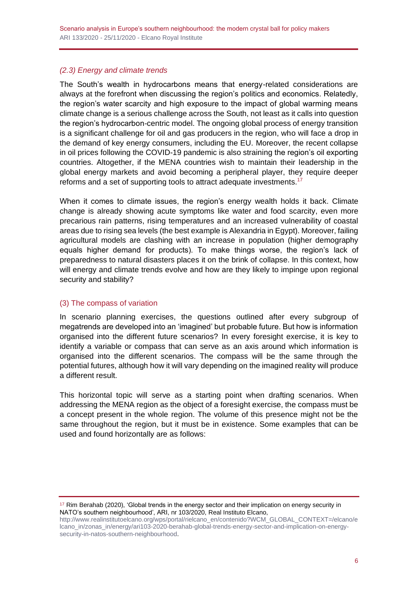## *(2.3) Energy and climate trends*

The South's wealth in hydrocarbons means that energy-related considerations are always at the forefront when discussing the region's politics and economics. Relatedly, the region's water scarcity and high exposure to the impact of global warming means climate change is a serious challenge across the South, not least as it calls into question the region's hydrocarbon-centric model. The ongoing global process of energy transition is a significant challenge for oil and gas producers in the region, who will face a drop in the demand of key energy consumers, including the EU. Moreover, the recent collapse in oil prices following the COVID-19 pandemic is also straining the region's oil exporting countries. Altogether, if the MENA countries wish to maintain their leadership in the global energy markets and avoid becoming a peripheral player, they require deeper reforms and a set of supporting tools to attract adequate investments.<sup>17</sup>

When it comes to climate issues, the region's energy wealth holds it back. Climate change is already showing acute symptoms like water and food scarcity, even more precarious rain patterns, rising temperatures and an increased vulnerability of coastal areas due to rising sea levels (the best example is Alexandria in Egypt). Moreover, failing agricultural models are clashing with an increase in population (higher demography equals higher demand for products). To make things worse, the region's lack of preparedness to natural disasters places it on the brink of collapse. In this context, how will energy and climate trends evolve and how are they likely to impinge upon regional security and stability?

## (3) The compass of variation

In scenario planning exercises, the questions outlined after every subgroup of megatrends are developed into an 'imagined' but probable future. But how is information organised into the different future scenarios? In every foresight exercise, it is key to identify a variable or compass that can serve as an axis around which information is organised into the different scenarios. The compass will be the same through the potential futures, although how it will vary depending on the imagined reality will produce a different result.

This horizontal topic will serve as a starting point when drafting scenarios. When addressing the MENA region as the object of a foresight exercise, the compass must be a concept present in the whole region. The volume of this presence might not be the same throughout the region, but it must be in existence. Some examples that can be used and found horizontally are as follows:

<sup>17</sup> Rim Berahab (2020), 'Global trends in the energy sector and their implication on energy security in NATO's southern neighbourhood', ARI, nr 103/2020, Real Instituto Elcano,

[http://www.realinstitutoelcano.org/wps/portal/rielcano\\_en/contenido?WCM\\_GLOBAL\\_CONTEXT=/elcano/e](http://www.realinstitutoelcano.org/wps/portal/rielcano_en/contenido?WCM_GLOBAL_CONTEXT=/elcano/elcano_in/zonas_in/energy/ari103-2020-berahab-global-trends-energy-sector-and-implication-on-energy-security-in-natos-southern-neighbourhood) [lcano\\_in/zonas\\_in/energy/ari103-2020-berahab-global-trends-energy-sector-and-implication-on-energy](http://www.realinstitutoelcano.org/wps/portal/rielcano_en/contenido?WCM_GLOBAL_CONTEXT=/elcano/elcano_in/zonas_in/energy/ari103-2020-berahab-global-trends-energy-sector-and-implication-on-energy-security-in-natos-southern-neighbourhood)[security-in-natos-southern-neighbourhood.](http://www.realinstitutoelcano.org/wps/portal/rielcano_en/contenido?WCM_GLOBAL_CONTEXT=/elcano/elcano_in/zonas_in/energy/ari103-2020-berahab-global-trends-energy-sector-and-implication-on-energy-security-in-natos-southern-neighbourhood)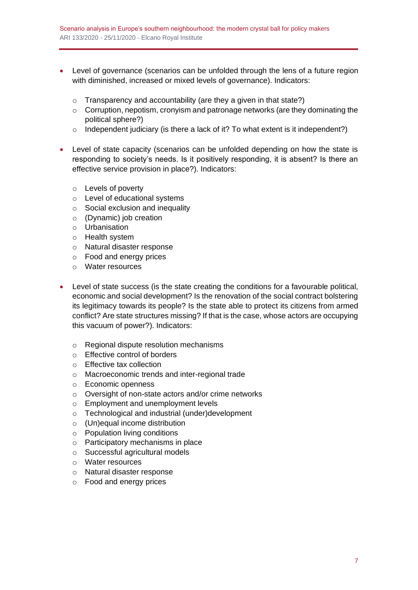- Level of governance (scenarios can be unfolded through the lens of a future region with diminished, increased or mixed levels of governance). Indicators:
	- $\circ$  Transparency and accountability (are they a given in that state?)
	- $\circ$  Corruption, nepotism, cronyism and patronage networks (are they dominating the political sphere?)
	- $\circ$  Independent judiciary (is there a lack of it? To what extent is it independent?)
- Level of state capacity (scenarios can be unfolded depending on how the state is responding to society's needs. Is it positively responding, it is absent? Is there an effective service provision in place?). Indicators:
	- o Levels of poverty
	- o Level of educational systems
	- o Social exclusion and inequality
	- o (Dynamic) job creation
	- o Urbanisation
	- o Health system
	- o Natural disaster response
	- o Food and energy prices
	- o Water resources
- Level of state success (is the state creating the conditions for a favourable political, economic and social development? Is the renovation of the social contract bolstering its legitimacy towards its people? Is the state able to protect its citizens from armed conflict? Are state structures missing? If that is the case, whose actors are occupying this vacuum of power?). Indicators:
	- o Regional dispute resolution mechanisms
	- o Effective control of borders
	- o Effective tax collection
	- o Macroeconomic trends and inter-regional trade
	- o Economic openness
	- o Oversight of non-state actors and/or crime networks
	- o Employment and unemployment levels
	- o Technological and industrial (under)development
	- o (Un)equal income distribution
	- o Population living conditions
	- o Participatory mechanisms in place
	- o Successful agricultural models
	- o Water resources
	- o Natural disaster response
	- o Food and energy prices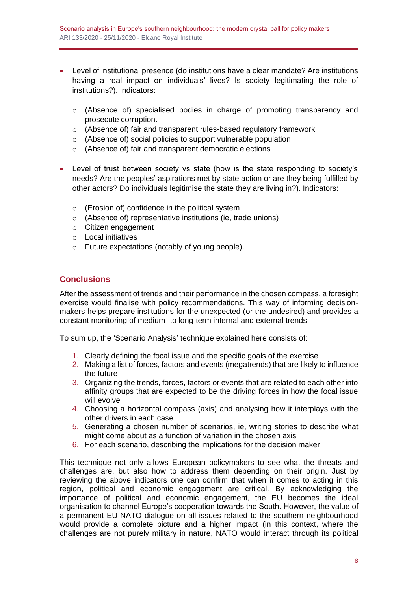- Level of institutional presence (do institutions have a clear mandate? Are institutions having a real impact on individuals' lives? Is society legitimating the role of institutions?). Indicators:
	- o (Absence of) specialised bodies in charge of promoting transparency and prosecute corruption.
	- o (Absence of) fair and transparent rules-based regulatory framework
	- o (Absence of) social policies to support vulnerable population
	- o (Absence of) fair and transparent democratic elections
- Level of trust between society vs state (how is the state responding to society's needs? Are the peoples' aspirations met by state action or are they being fulfilled by other actors? Do individuals legitimise the state they are living in?). Indicators:
	- o (Erosion of) confidence in the political system
	- o (Absence of) representative institutions (ie, trade unions)
	- o Citizen engagement
	- o Local initiatives
	- o Future expectations (notably of young people).

# **Conclusions**

After the assessment of trends and their performance in the chosen compass, a foresight exercise would finalise with policy recommendations. This way of informing decisionmakers helps prepare institutions for the unexpected (or the undesired) and provides a constant monitoring of medium- to long-term internal and external trends.

To sum up, the 'Scenario Analysis' technique explained here consists of:

- 1. Clearly defining the focal issue and the specific goals of the exercise
- 2. Making a list of forces, factors and events (megatrends) that are likely to influence the future
- 3. Organizing the trends, forces, factors or events that are related to each other into affinity groups that are expected to be the driving forces in how the focal issue will evolve
- 4. Choosing a horizontal compass (axis) and analysing how it interplays with the other drivers in each case
- 5. Generating a chosen number of scenarios, ie, writing stories to describe what might come about as a function of variation in the chosen axis
- 6. For each scenario, describing the implications for the decision maker

This technique not only allows European policymakers to see what the threats and challenges are, but also how to address them depending on their origin. Just by reviewing the above indicators one can confirm that when it comes to acting in this region, political and economic engagement are critical. By acknowledging the importance of political and economic engagement, the EU becomes the ideal organisation to channel Europe's cooperation towards the South. However, the value of a permanent EU-NATO dialogue on all issues related to the southern neighbourhood would provide a complete picture and a higher impact (in this context, where the challenges are not purely military in nature, NATO would interact through its political